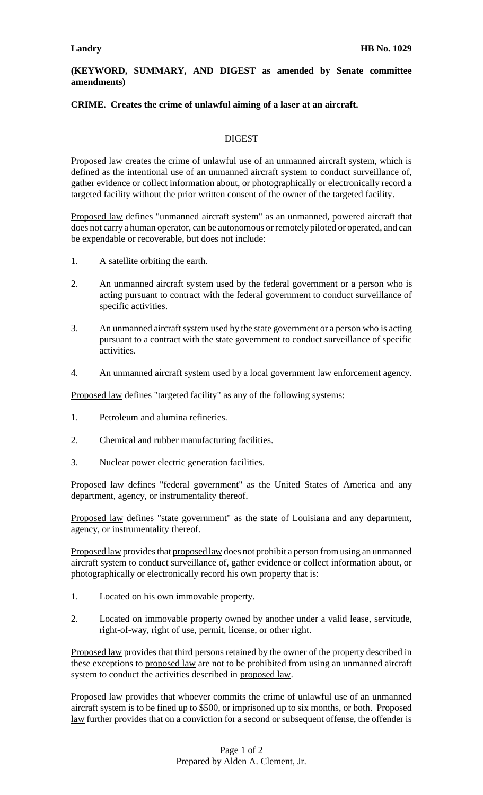## **(KEYWORD, SUMMARY, AND DIGEST as amended by Senate committee amendments)**

## **CRIME. Creates the crime of unlawful aiming of a laser at an aircraft.**

# ----------------

## DIGEST

Proposed law creates the crime of unlawful use of an unmanned aircraft system, which is defined as the intentional use of an unmanned aircraft system to conduct surveillance of, gather evidence or collect information about, or photographically or electronically record a targeted facility without the prior written consent of the owner of the targeted facility.

Proposed law defines "unmanned aircraft system" as an unmanned, powered aircraft that does not carry a human operator, can be autonomous or remotely piloted or operated, and can be expendable or recoverable, but does not include:

- 1. A satellite orbiting the earth.
- 2. An unmanned aircraft system used by the federal government or a person who is acting pursuant to contract with the federal government to conduct surveillance of specific activities.
- 3. An unmanned aircraft system used by the state government or a person who is acting pursuant to a contract with the state government to conduct surveillance of specific activities.
- 4. An unmanned aircraft system used by a local government law enforcement agency.

Proposed law defines "targeted facility" as any of the following systems:

- 1. Petroleum and alumina refineries.
- 2. Chemical and rubber manufacturing facilities.
- 3. Nuclear power electric generation facilities.

Proposed law defines "federal government" as the United States of America and any department, agency, or instrumentality thereof.

Proposed law defines "state government" as the state of Louisiana and any department, agency, or instrumentality thereof.

Proposed law provides that proposed law does not prohibit a person from using an unmanned aircraft system to conduct surveillance of, gather evidence or collect information about, or photographically or electronically record his own property that is:

- 1. Located on his own immovable property.
- 2. Located on immovable property owned by another under a valid lease, servitude, right-of-way, right of use, permit, license, or other right.

Proposed law provides that third persons retained by the owner of the property described in these exceptions to proposed law are not to be prohibited from using an unmanned aircraft system to conduct the activities described in proposed law.

Proposed law provides that whoever commits the crime of unlawful use of an unmanned aircraft system is to be fined up to \$500, or imprisoned up to six months, or both. Proposed law further provides that on a conviction for a second or subsequent offense, the offender is